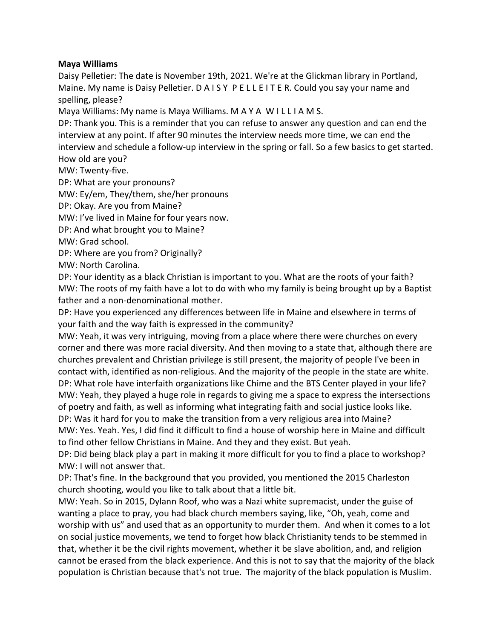## **Maya Williams**

Daisy Pelletier: The date is November 19th, 2021. We're at the Glickman library in Portland, Maine. My name is Daisy Pelletier. D A I S Y P E L L E I T E R. Could you say your name and spelling, please?

Maya Williams: My name is Maya Williams. M A Y A W I L L I A M S.

DP: Thank you. This is a reminder that you can refuse to answer any question and can end the interview at any point. If after 90 minutes the interview needs more time, we can end the interview and schedule a follow-up interview in the spring or fall. So a few basics to get started. How old are you?

MW: Twenty-five.

DP: What are your pronouns?

MW: Ey/em, They/them, she/her pronouns

DP: Okay. Are you from Maine?

MW: I've lived in Maine for four years now.

DP: And what brought you to Maine?

MW: Grad school.

DP: Where are you from? Originally?

MW: North Carolina.

DP: Your identity as a black Christian is important to you. What are the roots of your faith? MW: The roots of my faith have a lot to do with who my family is being brought up by a Baptist father and a non-denominational mother.

DP: Have you experienced any differences between life in Maine and elsewhere in terms of your faith and the way faith is expressed in the community?

MW: Yeah, it was very intriguing, moving from a place where there were churches on every corner and there was more racial diversity. And then moving to a state that, although there are churches prevalent and Christian privilege is still present, the majority of people I've been in contact with, identified as non-religious. And the majority of the people in the state are white. DP: What role have interfaith organizations like Chime and the BTS Center played in your life? MW: Yeah, they played a huge role in regards to giving me a space to express the intersections of poetry and faith, as well as informing what integrating faith and social justice looks like. DP: Was it hard for you to make the transition from a very religious area into Maine?

MW: Yes. Yeah. Yes, I did find it difficult to find a house of worship here in Maine and difficult to find other fellow Christians in Maine. And they and they exist. But yeah.

DP: Did being black play a part in making it more difficult for you to find a place to workshop? MW: I will not answer that.

DP: That's fine. In the background that you provided, you mentioned the 2015 Charleston church shooting, would you like to talk about that a little bit.

MW: Yeah. So in 2015, Dylann Roof, who was a Nazi white supremacist, under the guise of wanting a place to pray, you had black church members saying, like, "Oh, yeah, come and worship with us" and used that as an opportunity to murder them. And when it comes to a lot on social justice movements, we tend to forget how black Christianity tends to be stemmed in that, whether it be the civil rights movement, whether it be slave abolition, and, and religion cannot be erased from the black experience. And this is not to say that the majority of the black population is Christian because that's not true. The majority of the black population is Muslim.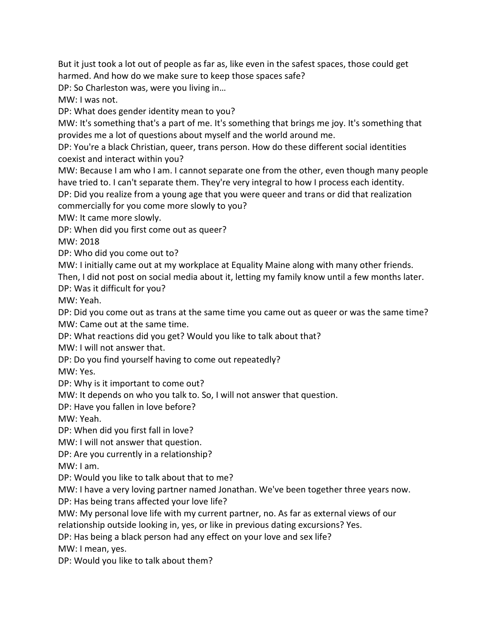But it just took a lot out of people as far as, like even in the safest spaces, those could get harmed. And how do we make sure to keep those spaces safe?

DP: So Charleston was, were you living in…

MW: I was not.

DP: What does gender identity mean to you?

MW: It's something that's a part of me. It's something that brings me joy. It's something that provides me a lot of questions about myself and the world around me.

DP: You're a black Christian, queer, trans person. How do these different social identities coexist and interact within you?

MW: Because I am who I am. I cannot separate one from the other, even though many people have tried to. I can't separate them. They're very integral to how I process each identity.

DP: Did you realize from a young age that you were queer and trans or did that realization commercially for you come more slowly to you?

MW: It came more slowly.

DP: When did you first come out as queer?

MW: 2018

DP: Who did you come out to?

MW: I initially came out at my workplace at Equality Maine along with many other friends.

Then, I did not post on social media about it, letting my family know until a few months later. DP: Was it difficult for you?

MW: Yeah.

DP: Did you come out as trans at the same time you came out as queer or was the same time? MW: Came out at the same time.

DP: What reactions did you get? Would you like to talk about that?

MW: I will not answer that.

DP: Do you find yourself having to come out repeatedly?

MW: Yes.

DP: Why is it important to come out?

MW: It depends on who you talk to. So, I will not answer that question.

DP: Have you fallen in love before?

MW: Yeah.

DP: When did you first fall in love?

MW: I will not answer that question.

DP: Are you currently in a relationship?

MW: I am.

DP: Would you like to talk about that to me?

MW: I have a very loving partner named Jonathan. We've been together three years now.

DP: Has being trans affected your love life?

MW: My personal love life with my current partner, no. As far as external views of our relationship outside looking in, yes, or like in previous dating excursions? Yes.

DP: Has being a black person had any effect on your love and sex life?

MW: I mean, yes.

DP: Would you like to talk about them?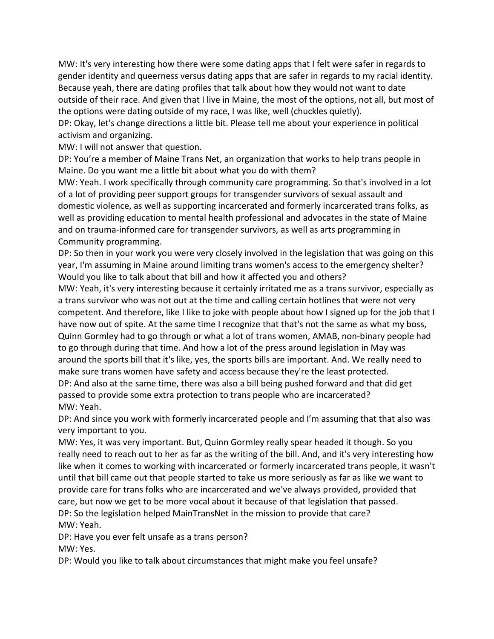MW: It's very interesting how there were some dating apps that I felt were safer in regards to gender identity and queerness versus dating apps that are safer in regards to my racial identity. Because yeah, there are dating profiles that talk about how they would not want to date outside of their race. And given that I live in Maine, the most of the options, not all, but most of the options were dating outside of my race, I was like, well (chuckles quietly).

DP: Okay, let's change directions a little bit. Please tell me about your experience in political activism and organizing.

MW: I will not answer that question.

DP: You're a member of Maine Trans Net, an organization that works to help trans people in Maine. Do you want me a little bit about what you do with them?

MW: Yeah. I work specifically through community care programming. So that's involved in a lot of a lot of providing peer support groups for transgender survivors of sexual assault and domestic violence, as well as supporting incarcerated and formerly incarcerated trans folks, as well as providing education to mental health professional and advocates in the state of Maine and on trauma-informed care for transgender survivors, as well as arts programming in Community programming.

DP: So then in your work you were very closely involved in the legislation that was going on this year, I'm assuming in Maine around limiting trans women's access to the emergency shelter? Would you like to talk about that bill and how it affected you and others?

MW: Yeah, it's very interesting because it certainly irritated me as a trans survivor, especially as a trans survivor who was not out at the time and calling certain hotlines that were not very competent. And therefore, like I like to joke with people about how I signed up for the job that I have now out of spite. At the same time I recognize that that's not the same as what my boss, Quinn Gormley had to go through or what a lot of trans women, AMAB, non-binary people had to go through during that time. And how a lot of the press around legislation in May was around the sports bill that it's like, yes, the sports bills are important. And. We really need to make sure trans women have safety and access because they're the least protected. DP: And also at the same time, there was also a bill being pushed forward and that did get passed to provide some extra protection to trans people who are incarcerated? MW: Yeah.

DP: And since you work with formerly incarcerated people and I'm assuming that that also was very important to you.

MW: Yes, it was very important. But, Quinn Gormley really spear headed it though. So you really need to reach out to her as far as the writing of the bill. And, and it's very interesting how like when it comes to working with incarcerated or formerly incarcerated trans people, it wasn't until that bill came out that people started to take us more seriously as far as like we want to provide care for trans folks who are incarcerated and we've always provided, provided that care, but now we get to be more vocal about it because of that legislation that passed. DP: So the legislation helped MainTransNet in the mission to provide that care? MW: Yeah.

DP: Have you ever felt unsafe as a trans person? MW: Yes.

DP: Would you like to talk about circumstances that might make you feel unsafe?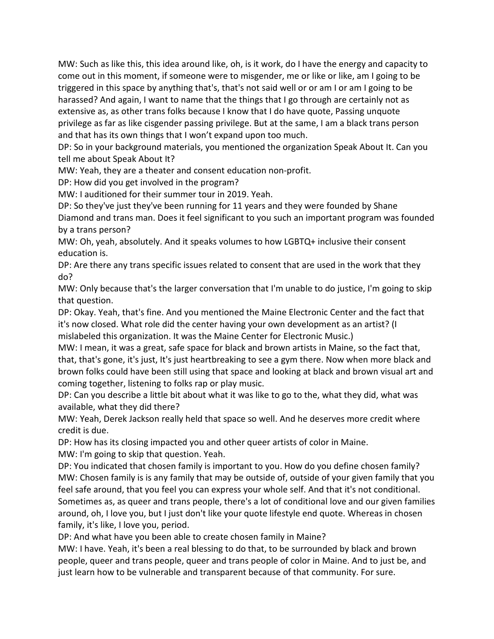MW: Such as like this, this idea around like, oh, is it work, do I have the energy and capacity to come out in this moment, if someone were to misgender, me or like or like, am I going to be triggered in this space by anything that's, that's not said well or or am I or am I going to be harassed? And again, I want to name that the things that I go through are certainly not as extensive as, as other trans folks because I know that I do have quote, Passing unquote privilege as far as like cisgender passing privilege. But at the same, I am a black trans person and that has its own things that I won't expand upon too much.

DP: So in your background materials, you mentioned the organization Speak About It. Can you tell me about Speak About It?

MW: Yeah, they are a theater and consent education non-profit.

DP: How did you get involved in the program?

MW: I auditioned for their summer tour in 2019. Yeah.

DP: So they've just they've been running for 11 years and they were founded by Shane Diamond and trans man. Does it feel significant to you such an important program was founded by a trans person?

MW: Oh, yeah, absolutely. And it speaks volumes to how LGBTQ+ inclusive their consent education is.

DP: Are there any trans specific issues related to consent that are used in the work that they do?

MW: Only because that's the larger conversation that I'm unable to do justice, I'm going to skip that question.

DP: Okay. Yeah, that's fine. And you mentioned the Maine Electronic Center and the fact that it's now closed. What role did the center having your own development as an artist? (I mislabeled this organization. It was the Maine Center for Electronic Music.)

MW: I mean, it was a great, safe space for black and brown artists in Maine, so the fact that, that, that's gone, it's just, It's just heartbreaking to see a gym there. Now when more black and brown folks could have been still using that space and looking at black and brown visual art and coming together, listening to folks rap or play music.

DP: Can you describe a little bit about what it was like to go to the, what they did, what was available, what they did there?

MW: Yeah, Derek Jackson really held that space so well. And he deserves more credit where credit is due.

DP: How has its closing impacted you and other queer artists of color in Maine.

MW: I'm going to skip that question. Yeah.

DP: You indicated that chosen family is important to you. How do you define chosen family? MW: Chosen family is is any family that may be outside of, outside of your given family that you feel safe around, that you feel you can express your whole self. And that it's not conditional. Sometimes as, as queer and trans people, there's a lot of conditional love and our given families around, oh, I love you, but I just don't like your quote lifestyle end quote. Whereas in chosen family, it's like, I love you, period.

DP: And what have you been able to create chosen family in Maine?

MW: I have. Yeah, it's been a real blessing to do that, to be surrounded by black and brown people, queer and trans people, queer and trans people of color in Maine. And to just be, and just learn how to be vulnerable and transparent because of that community. For sure.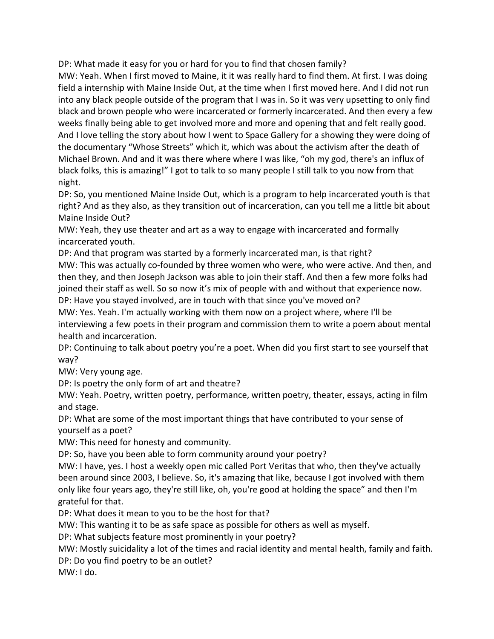DP: What made it easy for you or hard for you to find that chosen family?

MW: Yeah. When I first moved to Maine, it it was really hard to find them. At first. I was doing field a internship with Maine Inside Out, at the time when I first moved here. And I did not run into any black people outside of the program that I was in. So it was very upsetting to only find black and brown people who were incarcerated or formerly incarcerated. And then every a few weeks finally being able to get involved more and more and opening that and felt really good. And I love telling the story about how I went to Space Gallery for a showing they were doing of the documentary "Whose Streets" which it, which was about the activism after the death of Michael Brown. And and it was there where where I was like, "oh my god, there's an influx of black folks, this is amazing!" I got to talk to so many people I still talk to you now from that night.

DP: So, you mentioned Maine Inside Out, which is a program to help incarcerated youth is that right? And as they also, as they transition out of incarceration, can you tell me a little bit about Maine Inside Out?

MW: Yeah, they use theater and art as a way to engage with incarcerated and formally incarcerated youth.

DP: And that program was started by a formerly incarcerated man, is that right? MW: This was actually co-founded by three women who were, who were active. And then, and then they, and then Joseph Jackson was able to join their staff. And then a few more folks had joined their staff as well. So so now it's mix of people with and without that experience now. DP: Have you stayed involved, are in touch with that since you've moved on?

MW: Yes. Yeah. I'm actually working with them now on a project where, where I'll be interviewing a few poets in their program and commission them to write a poem about mental health and incarceration.

DP: Continuing to talk about poetry you're a poet. When did you first start to see yourself that way?

MW: Very young age.

DP: Is poetry the only form of art and theatre?

MW: Yeah. Poetry, written poetry, performance, written poetry, theater, essays, acting in film and stage.

DP: What are some of the most important things that have contributed to your sense of yourself as a poet?

MW: This need for honesty and community.

DP: So, have you been able to form community around your poetry?

MW: I have, yes. I host a weekly open mic called Port Veritas that who, then they've actually been around since 2003, I believe. So, it's amazing that like, because I got involved with them only like four years ago, they're still like, oh, you're good at holding the space" and then I'm grateful for that.

DP: What does it mean to you to be the host for that?

MW: This wanting it to be as safe space as possible for others as well as myself.

DP: What subjects feature most prominently in your poetry?

MW: Mostly suicidality a lot of the times and racial identity and mental health, family and faith.

DP: Do you find poetry to be an outlet?

MW: I do.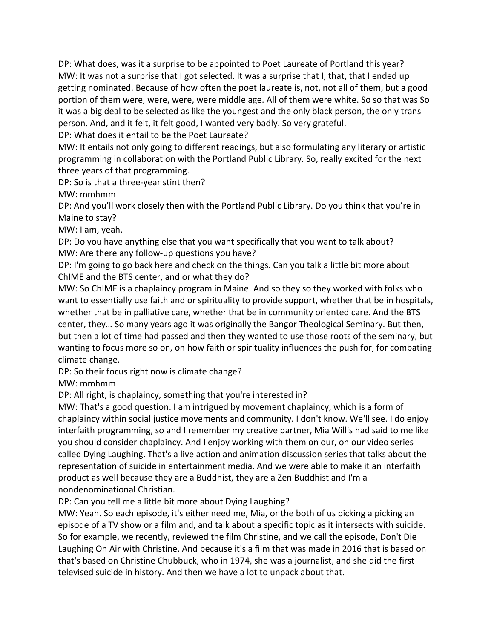DP: What does, was it a surprise to be appointed to Poet Laureate of Portland this year? MW: It was not a surprise that I got selected. It was a surprise that I, that, that I ended up getting nominated. Because of how often the poet laureate is, not, not all of them, but a good portion of them were, were, were, were middle age. All of them were white. So so that was So it was a big deal to be selected as like the youngest and the only black person, the only trans person. And, and it felt, it felt good, I wanted very badly. So very grateful.

DP: What does it entail to be the Poet Laureate?

MW: It entails not only going to different readings, but also formulating any literary or artistic programming in collaboration with the Portland Public Library. So, really excited for the next three years of that programming.

DP: So is that a three-year stint then?

MW: mmhmm

DP: And you'll work closely then with the Portland Public Library. Do you think that you're in Maine to stay?

MW: I am, yeah.

DP: Do you have anything else that you want specifically that you want to talk about? MW: Are there any follow-up questions you have?

DP: I'm going to go back here and check on the things. Can you talk a little bit more about ChIME and the BTS center, and or what they do?

MW: So ChIME is a chaplaincy program in Maine. And so they so they worked with folks who want to essentially use faith and or spirituality to provide support, whether that be in hospitals, whether that be in palliative care, whether that be in community oriented care. And the BTS center, they… So many years ago it was originally the Bangor Theological Seminary. But then, but then a lot of time had passed and then they wanted to use those roots of the seminary, but wanting to focus more so on, on how faith or spirituality influences the push for, for combating climate change.

DP: So their focus right now is climate change?

MW: mmhmm

DP: All right, is chaplaincy, something that you're interested in?

MW: That's a good question. I am intrigued by movement chaplaincy, which is a form of chaplaincy within social justice movements and community. I don't know. We'll see. I do enjoy interfaith programming, so and I remember my creative partner, Mia Willis had said to me like you should consider chaplaincy. And I enjoy working with them on our, on our video series called Dying Laughing. That's a live action and animation discussion series that talks about the representation of suicide in entertainment media. And we were able to make it an interfaith product as well because they are a Buddhist, they are a Zen Buddhist and I'm a nondenominational Christian.

DP: Can you tell me a little bit more about Dying Laughing?

MW: Yeah. So each episode, it's either need me, Mia, or the both of us picking a picking an episode of a TV show or a film and, and talk about a specific topic as it intersects with suicide. So for example, we recently, reviewed the film Christine, and we call the episode, Don't Die Laughing On Air with Christine. And because it's a film that was made in 2016 that is based on that's based on Christine Chubbuck, who in 1974, she was a journalist, and she did the first televised suicide in history. And then we have a lot to unpack about that.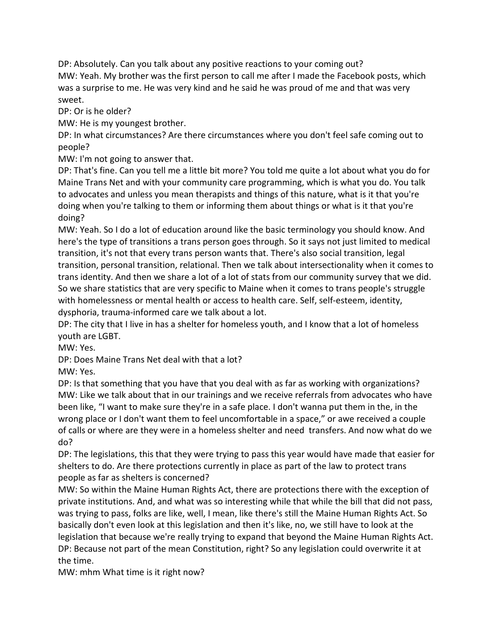DP: Absolutely. Can you talk about any positive reactions to your coming out? MW: Yeah. My brother was the first person to call me after I made the Facebook posts, which was a surprise to me. He was very kind and he said he was proud of me and that was very sweet.

DP: Or is he older?

MW: He is my youngest brother.

DP: In what circumstances? Are there circumstances where you don't feel safe coming out to people?

MW: I'm not going to answer that.

DP: That's fine. Can you tell me a little bit more? You told me quite a lot about what you do for Maine Trans Net and with your community care programming, which is what you do. You talk to advocates and unless you mean therapists and things of this nature, what is it that you're doing when you're talking to them or informing them about things or what is it that you're doing?

MW: Yeah. So I do a lot of education around like the basic terminology you should know. And here's the type of transitions a trans person goes through. So it says not just limited to medical transition, it's not that every trans person wants that. There's also social transition, legal transition, personal transition, relational. Then we talk about intersectionality when it comes to trans identity. And then we share a lot of a lot of stats from our community survey that we did. So we share statistics that are very specific to Maine when it comes to trans people's struggle with homelessness or mental health or access to health care. Self, self-esteem, identity, dysphoria, trauma-informed care we talk about a lot.

DP: The city that I live in has a shelter for homeless youth, and I know that a lot of homeless youth are LGBT.

MW: Yes.

DP: Does Maine Trans Net deal with that a lot? MW: Yes.

DP: Is that something that you have that you deal with as far as working with organizations? MW: Like we talk about that in our trainings and we receive referrals from advocates who have been like, "I want to make sure they're in a safe place. I don't wanna put them in the, in the wrong place or I don't want them to feel uncomfortable in a space," or awe received a couple of calls or where are they were in a homeless shelter and need transfers. And now what do we do?

DP: The legislations, this that they were trying to pass this year would have made that easier for shelters to do. Are there protections currently in place as part of the law to protect trans people as far as shelters is concerned?

MW: So within the Maine Human Rights Act, there are protections there with the exception of private institutions. And, and what was so interesting while that while the bill that did not pass, was trying to pass, folks are like, well, I mean, like there's still the Maine Human Rights Act. So basically don't even look at this legislation and then it's like, no, we still have to look at the legislation that because we're really trying to expand that beyond the Maine Human Rights Act. DP: Because not part of the mean Constitution, right? So any legislation could overwrite it at the time.

MW: mhm What time is it right now?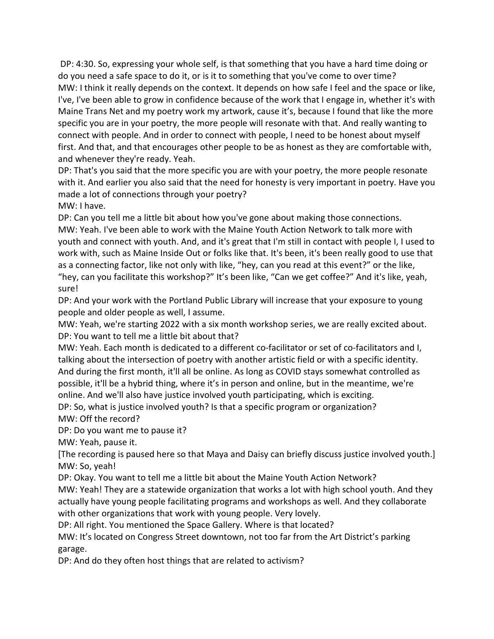DP: 4:30. So, expressing your whole self, is that something that you have a hard time doing or do you need a safe space to do it, or is it to something that you've come to over time? MW: I think it really depends on the context. It depends on how safe I feel and the space or like, I've, I've been able to grow in confidence because of the work that I engage in, whether it's with Maine Trans Net and my poetry work my artwork, cause it's, because I found that like the more specific you are in your poetry, the more people will resonate with that. And really wanting to connect with people. And in order to connect with people, I need to be honest about myself first. And that, and that encourages other people to be as honest as they are comfortable with, and whenever they're ready. Yeah.

DP: That's you said that the more specific you are with your poetry, the more people resonate with it. And earlier you also said that the need for honesty is very important in poetry. Have you made a lot of connections through your poetry?

MW: I have.

DP: Can you tell me a little bit about how you've gone about making those connections. MW: Yeah. I've been able to work with the Maine Youth Action Network to talk more with youth and connect with youth. And, and it's great that I'm still in contact with people I, I used to work with, such as Maine Inside Out or folks like that. It's been, it's been really good to use that as a connecting factor, like not only with like, "hey, can you read at this event?" or the like, "hey, can you facilitate this workshop?" It's been like, "Can we get coffee?" And it's like, yeah, sure!

DP: And your work with the Portland Public Library will increase that your exposure to young people and older people as well, I assume.

MW: Yeah, we're starting 2022 with a six month workshop series, we are really excited about. DP: You want to tell me a little bit about that?

MW: Yeah. Each month is dedicated to a different co-facilitator or set of co-facilitators and I, talking about the intersection of poetry with another artistic field or with a specific identity. And during the first month, it'll all be online. As long as COVID stays somewhat controlled as possible, it'll be a hybrid thing, where it's in person and online, but in the meantime, we're online. And we'll also have justice involved youth participating, which is exciting.

DP: So, what is justice involved youth? Is that a specific program or organization? MW: Off the record?

DP: Do you want me to pause it?

MW: Yeah, pause it.

[The recording is paused here so that Maya and Daisy can briefly discuss justice involved youth.] MW: So, yeah!

DP: Okay. You want to tell me a little bit about the Maine Youth Action Network?

MW: Yeah! They are a statewide organization that works a lot with high school youth. And they actually have young people facilitating programs and workshops as well. And they collaborate with other organizations that work with young people. Very lovely.

DP: All right. You mentioned the Space Gallery. Where is that located?

MW: It's located on Congress Street downtown, not too far from the Art District's parking garage.

DP: And do they often host things that are related to activism?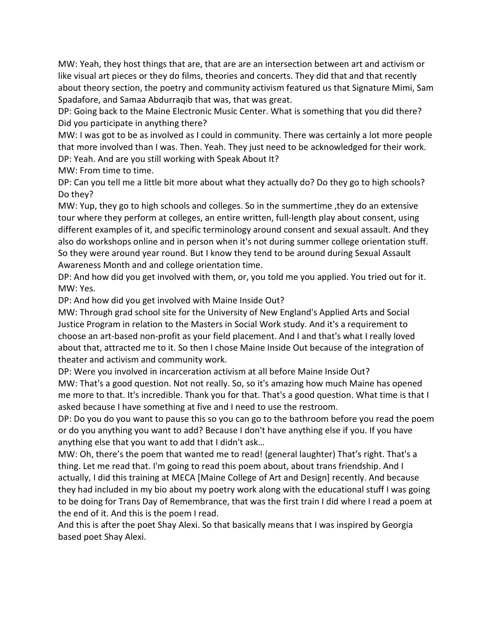MW: Yeah, they host things that are, that are are an intersection between art and activism or like visual art pieces or they do films, theories and concerts. They did that and that recently about theory section, the poetry and community activism featured us that Signature Mimi, Sam Spadafore, and Samaa Abdurraqib that was, that was great.

DP: Going back to the Maine Electronic Music Center. What is something that you did there? Did you participate in anything there?

MW: I was got to be as involved as I could in community. There was certainly a lot more people that more involved than I was. Then. Yeah. They just need to be acknowledged for their work. DP: Yeah. And are you still working with Speak About It?

MW: From time to time.

DP: Can you tell me a little bit more about what they actually do? Do they go to high schools? Do they?

MW: Yup, they go to high schools and colleges. So in the summertime ,they do an extensive tour where they perform at colleges, an entire written, full-length play about consent, using different examples of it, and specific terminology around consent and sexual assault. And they also do workshops online and in person when it's not during summer college orientation stuff. So they were around year round. But I know they tend to be around during Sexual Assault Awareness Month and and college orientation time.

DP: And how did you get involved with them, or, you told me you applied. You tried out for it. MW: Yes.

DP: And how did you get involved with Maine Inside Out?

MW: Through grad school site for the University of New England's Applied Arts and Social Justice Program in relation to the Masters in Social Work study. And it's a requirement to choose an art-based non-profit as your field placement. And I and that's what I really loved about that, attracted me to it. So then I chose Maine Inside Out because of the integration of theater and activism and community work.

DP: Were you involved in incarceration activism at all before Maine Inside Out? MW: That's a good question. Not not really. So, so it's amazing how much Maine has opened me more to that. It's incredible. Thank you for that. That's a good question. What time is that I asked because I have something at five and I need to use the restroom.

DP: Do you do you want to pause this so you can go to the bathroom before you read the poem or do you anything you want to add? Because I don't have anything else if you. If you have anything else that you want to add that I didn't ask…

MW: Oh, there's the poem that wanted me to read! (general laughter) That's right. That's a thing. Let me read that. I'm going to read this poem about, about trans friendship. And I actually, I did this training at MECA [Maine College of Art and Design] recently. And because they had included in my bio about my poetry work along with the educational stuff I was going to be doing for Trans Day of Remembrance, that was the first train I did where I read a poem at the end of it. And this is the poem I read.

And this is after the poet Shay Alexi. So that basically means that I was inspired by Georgia based poet Shay Alexi.